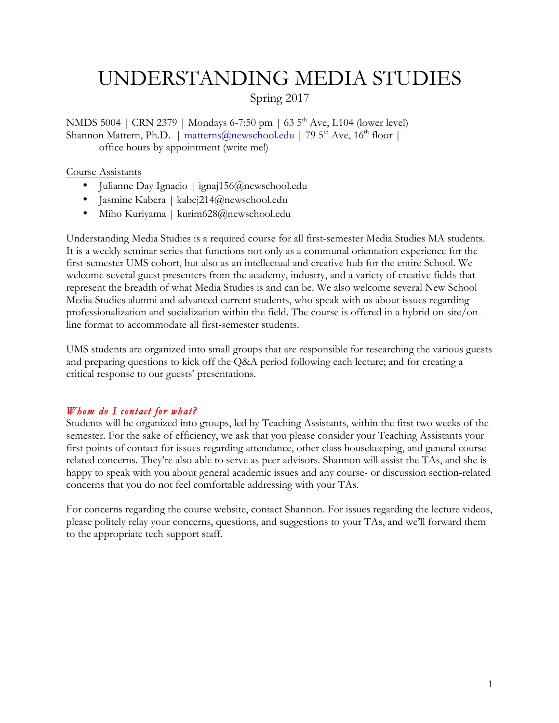# UNDERSTANDING MEDIA STUDIES

Spring 2017

NMDS 5004 | CRN 2379 | Mondays 6-7:50 pm | 63 5<sup>th</sup> Ave, L104 (lower level) Shannon Mattern, Ph.D. | matterns@newschool.edu | 79  $5<sup>th</sup>$  Ave,  $16<sup>th</sup>$  floor | office hours by appointment (write me!)

#### Course Assistants

- Julianne Day Ignacio | ignaj156@newschool.edu
- Jasmine Kabera | kabej214@newschool.edu
- Miho Kuriyama | kurim628@newschool.edu

Understanding Media Studies is a required course for all first-semester Media Studies MA students. It is a weekly seminar series that functions not only as a communal orientation experience for the first-semester UMS cohort, but also as an intellectual and creative hub for the entire School. We welcome several guest presenters from the academy, industry, and a variety of creative fields that represent the breadth of what Media Studies is and can be. We also welcome several New School Media Studies alumni and advanced current students, who speak with us about issues regarding professionalization and socialization within the field. The course is offered in a hybrid on-site/online format to accommodate all first-semester students.

UMS students are organized into small groups that are responsible for researching the various guests and preparing questions to kick off the Q&A period following each lecture; and for creating a critical response to our guests' presentations.

#### *Whom do I contact for what?*

Students will be organized into groups, led by Teaching Assistants, within the first two weeks of the semester. For the sake of efficiency, we ask that you please consider your Teaching Assistants your first points of contact for issues regarding attendance, other class housekeeping, and general courserelated concerns. They're also able to serve as peer advisors. Shannon will assist the TAs, and she is happy to speak with you about general academic issues and any course- or discussion section-related concerns that you do not feel comfortable addressing with your TAs.

For concerns regarding the course website, contact Shannon. For issues regarding the lecture videos, please politely relay your concerns, questions, and suggestions to your TAs, and we'll forward them to the appropriate tech support staff.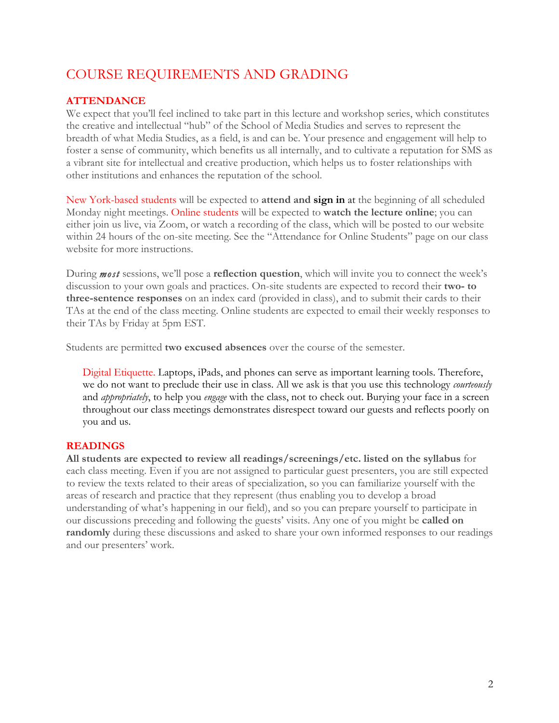# COURSE REQUIREMENTS AND GRADING

## **ATTENDANCE**

We expect that you'll feel inclined to take part in this lecture and workshop series, which constitutes the creative and intellectual "hub" of the School of Media Studies and serves to represent the breadth of what Media Studies, as a field, is and can be. Your presence and engagement will help to foster a sense of community, which benefits us all internally, and to cultivate a reputation for SMS as a vibrant site for intellectual and creative production, which helps us to foster relationships with other institutions and enhances the reputation of the school.

New York-based students will be expected to **attend and sign in** at the beginning of all scheduled Monday night meetings. Online students will be expected to **watch the lecture online**; you can either join us live, via Zoom, or watch a recording of the class, which will be posted to our website within 24 hours of the on-site meeting. See the "Attendance for Online Students" page on our class website for more instructions.

During *most* sessions, we'll pose a **reflection question**, which will invite you to connect the week's discussion to your own goals and practices. On-site students are expected to record their **two- to three-sentence responses** on an index card (provided in class), and to submit their cards to their TAs at the end of the class meeting. Online students are expected to email their weekly responses to their TAs by Friday at 5pm EST.

Students are permitted **two excused absences** over the course of the semester.

Digital Etiquette. Laptops, iPads, and phones can serve as important learning tools. Therefore, we do not want to preclude their use in class. All we ask is that you use this technology *courteously* and *appropriately*, to help you *engage* with the class, not to check out. Burying your face in a screen throughout our class meetings demonstrates disrespect toward our guests and reflects poorly on you and us.

## **READINGS**

**All students are expected to review all readings/screenings/etc. listed on the syllabus** for each class meeting. Even if you are not assigned to particular guest presenters, you are still expected to review the texts related to their areas of specialization, so you can familiarize yourself with the areas of research and practice that they represent (thus enabling you to develop a broad understanding of what's happening in our field), and so you can prepare yourself to participate in our discussions preceding and following the guests' visits. Any one of you might be **called on randomly** during these discussions and asked to share your own informed responses to our readings and our presenters' work.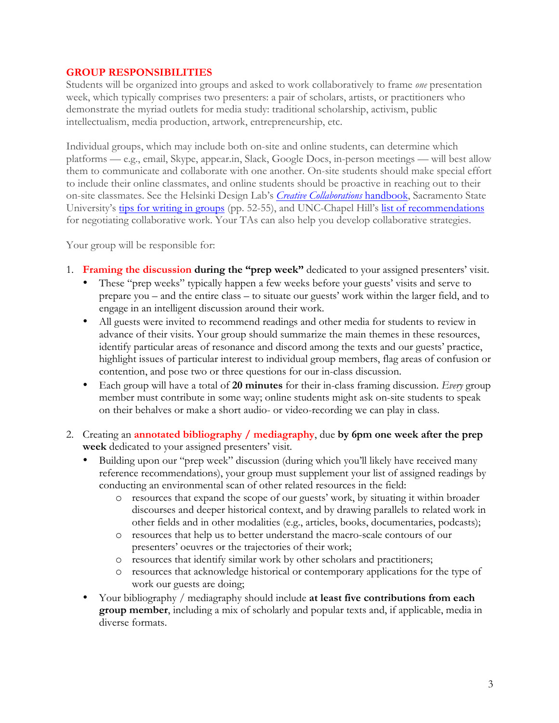### **GROUP RESPONSIBILITIES**

Students will be organized into groups and asked to work collaboratively to frame *one* presentation week, which typically comprises two presenters: a pair of scholars, artists, or practitioners who demonstrate the myriad outlets for media study: traditional scholarship, activism, public intellectualism, media production, artwork, entrepreneurship, etc.

Individual groups, which may include both on-site and online students, can determine which platforms — e.g., email, Skype, appear.in, Slack, Google Docs, in-person meetings — will best allow them to communicate and collaborate with one another. On-site students should make special effort to include their online classmates, and online students should be proactive in reaching out to their on-site classmates. See the Helsinki Design Lab's *Creative Collaborations* handbook, Sacramento State University's tips for writing in groups (pp. 52-55), and UNC-Chapel Hill's list of recommendations for negotiating collaborative work. Your TAs can also help you develop collaborative strategies.

Your group will be responsible for:

- 1. **Framing the discussion during the "prep week"** dedicated to your assigned presenters' visit.
	- These "prep weeks" typically happen a few weeks before your guests' visits and serve to prepare you – and the entire class – to situate our guests' work within the larger field, and to engage in an intelligent discussion around their work.
	- All guests were invited to recommend readings and other media for students to review in advance of their visits. Your group should summarize the main themes in these resources, identify particular areas of resonance and discord among the texts and our guests' practice, highlight issues of particular interest to individual group members, flag areas of confusion or contention, and pose two or three questions for our in-class discussion.
	- Each group will have a total of **20 minutes** for their in-class framing discussion. *Every* group member must contribute in some way; online students might ask on-site students to speak on their behalves or make a short audio- or video-recording we can play in class.
- 2. Creating an **annotated bibliography / mediagraphy**, due **by 6pm one week after the prep week** dedicated to your assigned presenters' visit.
	- Building upon our "prep week" discussion (during which you'll likely have received many reference recommendations), your group must supplement your list of assigned readings by conducting an environmental scan of other related resources in the field:
		- o resources that expand the scope of our guests' work, by situating it within broader discourses and deeper historical context, and by drawing parallels to related work in other fields and in other modalities (e.g., articles, books, documentaries, podcasts);
		- o resources that help us to better understand the macro-scale contours of our presenters' oeuvres or the trajectories of their work;
		- o resources that identify similar work by other scholars and practitioners;
		- o resources that acknowledge historical or contemporary applications for the type of work our guests are doing;
	- Your bibliography / mediagraphy should include **at least five contributions from each group member**, including a mix of scholarly and popular texts and, if applicable, media in diverse formats.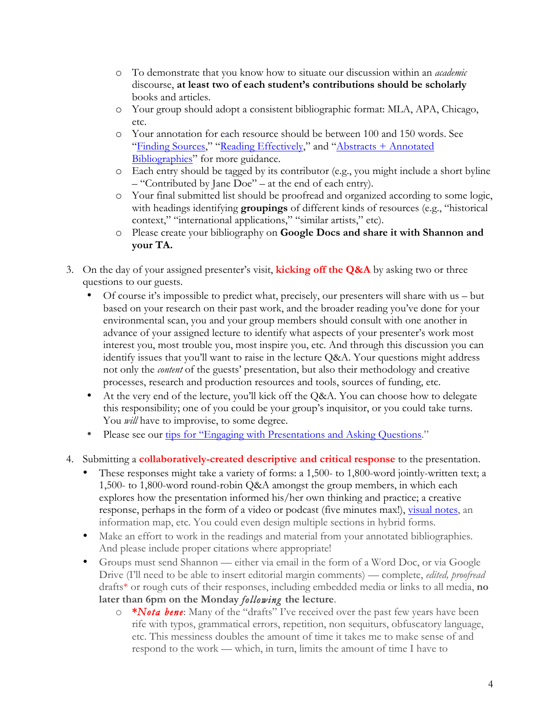- o To demonstrate that you know how to situate our discussion within an *academic*  discourse, **at least two of each student's contributions should be scholarly** books and articles.
- o Your group should adopt a consistent bibliographic format: MLA, APA, Chicago, etc.
- o Your annotation for each resource should be between 100 and 150 words. See "Finding Sources," "Reading Effectively," and "Abstracts + Annotated Bibliographies" for more guidance.
- o Each entry should be tagged by its contributor (e.g., you might include a short byline – "Contributed by Jane Doe" – at the end of each entry).
- o Your final submitted list should be proofread and organized according to some logic, with headings identifying **groupings** of different kinds of resources (e.g., "historical context," "international applications," "similar artists," etc).
- o Please create your bibliography on **Google Docs and share it with Shannon and your TA.**
- 3. On the day of your assigned presenter's visit, **kicking off the Q&A** by asking two or three questions to our guests.
	- Of course it's impossible to predict what, precisely, our presenters will share with us but based on your research on their past work, and the broader reading you've done for your environmental scan, you and your group members should consult with one another in advance of your assigned lecture to identify what aspects of your presenter's work most interest you, most trouble you, most inspire you, etc. And through this discussion you can identify issues that you'll want to raise in the lecture Q&A. Your questions might address not only the *content* of the guests' presentation, but also their methodology and creative processes, research and production resources and tools, sources of funding, etc.
	- At the very end of the lecture, you'll kick off the Q&A. You can choose how to delegate this responsibility; one of you could be your group's inquisitor, or you could take turns. You *will* have to improvise, to some degree.
	- Please see our tips for "Engaging with Presentations and Asking Questions."
- 4. Submitting a **collaboratively-created descriptive and critical response** to the presentation.
	- These responses might take a variety of forms: a 1,500- to 1,800-word jointly-written text; a 1,500- to 1,800-word round-robin Q&A amongst the group members, in which each explores how the presentation informed his/her own thinking and practice; a creative response, perhaps in the form of a video or podcast (five minutes max!), visual notes, an information map, etc. You could even design multiple sections in hybrid forms.
	- Make an effort to work in the readings and material from your annotated bibliographies. And please include proper citations where appropriate!
	- Groups must send Shannon either via email in the form of a Word Doc, or via Google Drive (I'll need to be able to insert editorial margin comments) — complete, *edited, proofread* drafts\* or rough cuts of their responses, including embedded media or links to all media, **no later than 6pm on the Monday** *following* **the lecture**.
		- o **\****Nota bene*: Many of the "drafts" I've received over the past few years have been rife with typos, grammatical errors, repetition, non sequiturs, obfuscatory language, etc. This messiness doubles the amount of time it takes me to make sense of and respond to the work — which, in turn, limits the amount of time I have to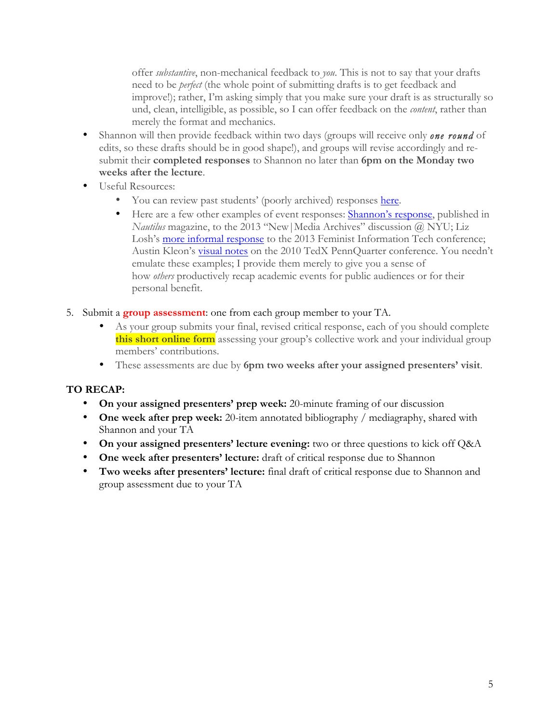offer *substantive*, non-mechanical feedback to *you*. This is not to say that your drafts need to be *perfect* (the whole point of submitting drafts is to get feedback and improve!); rather, I'm asking simply that you make sure your draft is as structurally so und, clean, intelligible, as possible, so I can offer feedback on the *content*, rather than merely the format and mechanics.

- Shannon will then provide feedback within two days (groups will receive only *one round* of edits, so these drafts should be in good shape!), and groups will revise accordingly and resubmit their **completed responses** to Shannon no later than **6pm on the Monday two weeks after the lecture**.
- Useful Resources:
	- You can review past students' (poorly archived) responses here.
	- Here are a few other examples of event responses: Shannon's response, published in *Nautilus* magazine, to the 2013 "New|Media Archives" discussion @ NYU; Liz Losh's more informal response to the 2013 Feminist Information Tech conference; Austin Kleon's visual notes on the 2010 TedX PennQuarter conference. You needn't emulate these examples; I provide them merely to give you a sense of how *others* productively recap academic events for public audiences or for their personal benefit.
- 5. Submit a **group assessment**: one from each group member to your TA.
	- As your group submits your final, revised critical response, each of you should complete **this short online form** assessing your group's collective work and your individual group members' contributions.
	- These assessments are due by **6pm two weeks after your assigned presenters' visit**.

## **TO RECAP:**

- **On your assigned presenters' prep week:** 20-minute framing of our discussion
- **One week after prep week:** 20-item annotated bibliography / mediagraphy, shared with Shannon and your TA
- **On your assigned presenters' lecture evening:** two or three questions to kick off Q&A
- **One week after presenters' lecture:** draft of critical response due to Shannon
- **Two weeks after presenters' lecture:** final draft of critical response due to Shannon and group assessment due to your TA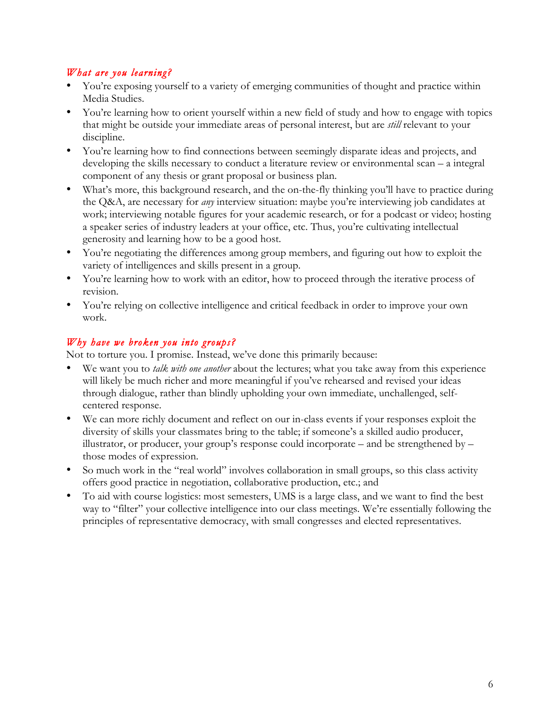## *What are you learning?*

- You're exposing yourself to a variety of emerging communities of thought and practice within Media Studies.
- You're learning how to orient yourself within a new field of study and how to engage with topics that might be outside your immediate areas of personal interest, but are *still* relevant to your discipline.
- You're learning how to find connections between seemingly disparate ideas and projects, and developing the skills necessary to conduct a literature review or environmental scan – a integral component of any thesis or grant proposal or business plan.
- What's more, this background research, and the on-the-fly thinking you'll have to practice during the Q&A, are necessary for *any* interview situation: maybe you're interviewing job candidates at work; interviewing notable figures for your academic research, or for a podcast or video; hosting a speaker series of industry leaders at your office, etc. Thus, you're cultivating intellectual generosity and learning how to be a good host.
- You're negotiating the differences among group members, and figuring out how to exploit the variety of intelligences and skills present in a group.
- You're learning how to work with an editor, how to proceed through the iterative process of revision.
- You're relying on collective intelligence and critical feedback in order to improve your own work.

## *Why have we broken you into groups?*

Not to torture you. I promise. Instead, we've done this primarily because:

- We want you to *talk with one another* about the lectures; what you take away from this experience will likely be much richer and more meaningful if you've rehearsed and revised your ideas through dialogue, rather than blindly upholding your own immediate, unchallenged, selfcentered response.
- We can more richly document and reflect on our in-class events if your responses exploit the diversity of skills your classmates bring to the table; if someone's a skilled audio producer, illustrator, or producer, your group's response could incorporate – and be strengthened by – those modes of expression.
- So much work in the "real world" involves collaboration in small groups, so this class activity offers good practice in negotiation, collaborative production, etc.; and
- To aid with course logistics: most semesters, UMS is a large class, and we want to find the best way to "filter" your collective intelligence into our class meetings. We're essentially following the principles of representative democracy, with small congresses and elected representatives.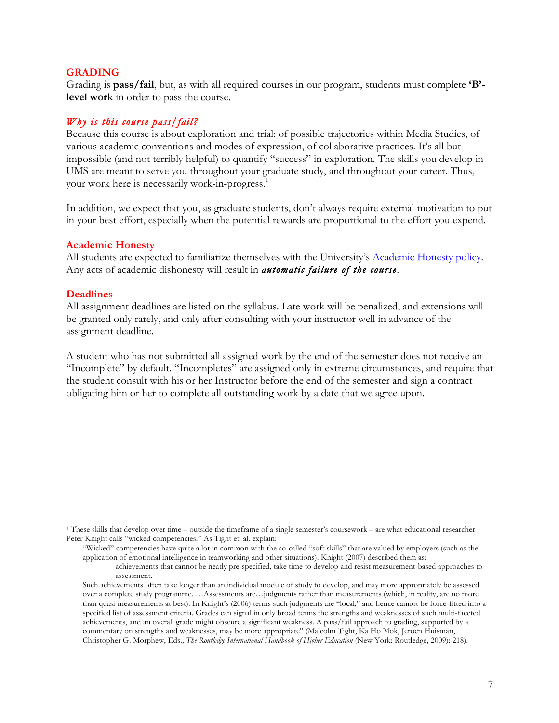#### **GRADING**

Grading is **pass/fail**, but, as with all required courses in our program, students must complete **'B' level work** in order to pass the course.

#### *Why is this course pass/fail?*

Because this course is about exploration and trial: of possible trajectories within Media Studies, of various academic conventions and modes of expression, of collaborative practices. It's all but impossible (and not terribly helpful) to quantify "success" in exploration. The skills you develop in UMS are meant to serve you throughout your graduate study, and throughout your career. Thus, your work here is necessarily work-in-progress.<sup>1</sup>

In addition, we expect that you, as graduate students, don't always require external motivation to put in your best effort, especially when the potential rewards are proportional to the effort you expend.

#### **Academic Honesty**

All students are expected to familiarize themselves with the University's Academic Honesty policy. Any acts of academic dishonesty will result in *automatic failure of the course*.

#### **Deadlines**

1

All assignment deadlines are listed on the syllabus. Late work will be penalized, and extensions will be granted only rarely, and only after consulting with your instructor well in advance of the assignment deadline.

A student who has not submitted all assigned work by the end of the semester does not receive an "Incomplete" by default. "Incompletes" are assigned only in extreme circumstances, and require that the student consult with his or her Instructor before the end of the semester and sign a contract obligating him or her to complete all outstanding work by a date that we agree upon.

"Wicked" competencies have quite a lot in common with the so-called "soft skills" that are valued by employers (such as the application of emotional intelligence in teamworking and other situations). Knight (2007) described them as:

<sup>1</sup> These skills that develop over time – outside the timeframe of a single semester's coursework – are what educational researcher Peter Knight calls "wicked competencies." As Tight et. al. explain:

achievements that cannot be neatly pre-specified, take time to develop and resist measurement-based approaches to assessment.

Such achievements often take longer than an individual module of study to develop, and may more appropriately be assessed over a complete study programme. …Assessments are…judgments rather than measurements (which, in reality, are no more than quasi-measurements at best). In Knight's (2006) terms such judgments are "local," and hence cannot be force-fitted into a specified list of assessment criteria. Grades can signal in only broad terms the strengths and weaknesses of such multi-faceted achievements, and an overall grade might obscure a significant weakness. A pass/fail approach to grading, supported by a commentary on strengths and weaknesses, may be more appropriate" (Malcolm Tight, Ka Ho Mok, Jeroen Huisman, Christopher G. Morphew, Eds., *The Routledge International Handbook of Higher Education* (New York: Routledge, 2009): 218).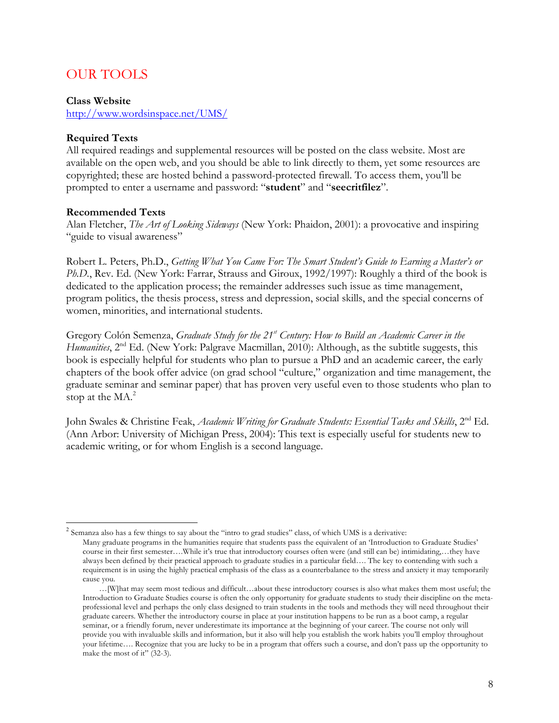## OUR TOOLS

#### **Class Website**

http://www.wordsinspace.net/UMS/

#### **Required Texts**

All required readings and supplemental resources will be posted on the class website. Most are available on the open web, and you should be able to link directly to them, yet some resources are copyrighted; these are hosted behind a password-protected firewall. To access them, you'll be prompted to enter a username and password: "**student**" and "**seecritfilez**".

#### **Recommended Texts**

Alan Fletcher, *The Art of Looking Sideways* (New York: Phaidon, 2001): a provocative and inspiring "guide to visual awareness"

Robert L. Peters, Ph.D., *Getting What You Came For: The Smart Student's Guide to Earning a Master's or Ph.D.*, Rev. Ed. (New York: Farrar, Strauss and Giroux, 1992/1997): Roughly a third of the book is dedicated to the application process; the remainder addresses such issue as time management, program politics, the thesis process, stress and depression, social skills, and the special concerns of women, minorities, and international students.

Gregory Colón Semenza, *Graduate Study for the 21st Century: How to Build an Academic Career in the Humanities*, 2<sup>nd</sup> Ed. (New York: Palgrave Macmillan, 2010): Although, as the subtitle suggests, this book is especially helpful for students who plan to pursue a PhD and an academic career, the early chapters of the book offer advice (on grad school "culture," organization and time management, the graduate seminar and seminar paper) that has proven very useful even to those students who plan to stop at the  $MA.<sup>2</sup>$ 

John Swales & Christine Feak, *Academic Writing for Graduate Students: Essential Tasks and Skills*, 2<sup>nd</sup> Ed. (Ann Arbor: University of Michigan Press, 2004): This text is especially useful for students new to academic writing, or for whom English is a second language.

<sup>&</sup>lt;sup>2</sup> Semanza also has a few things to say about the "intro to grad studies" class, of which UMS is a derivative: Many graduate programs in the humanities require that students pass the equivalent of an 'Introduction to Graduate Studies' course in their first semester….While it's true that introductory courses often were (and still can be) intimidating,…they have always been defined by their practical approach to graduate studies in a particular field…. The key to contending with such a requirement is in using the highly practical emphasis of the class as a counterbalance to the stress and anxiety it may temporarily cause you.

<sup>…[</sup>W]hat may seem most tedious and difficult…about these introductory courses is also what makes them most useful; the Introduction to Graduate Studies course is often the only opportunity for graduate students to study their discipline on the metaprofessional level and perhaps the only class designed to train students in the tools and methods they will need throughout their graduate careers. Whether the introductory course in place at your institution happens to be run as a boot camp, a regular seminar, or a friendly forum, never underestimate its importance at the beginning of your career. The course not only will provide you with invaluable skills and information, but it also will help you establish the work habits you'll employ throughout your lifetime…. Recognize that you are lucky to be in a program that offers such a course, and don't pass up the opportunity to make the most of it" (32-3).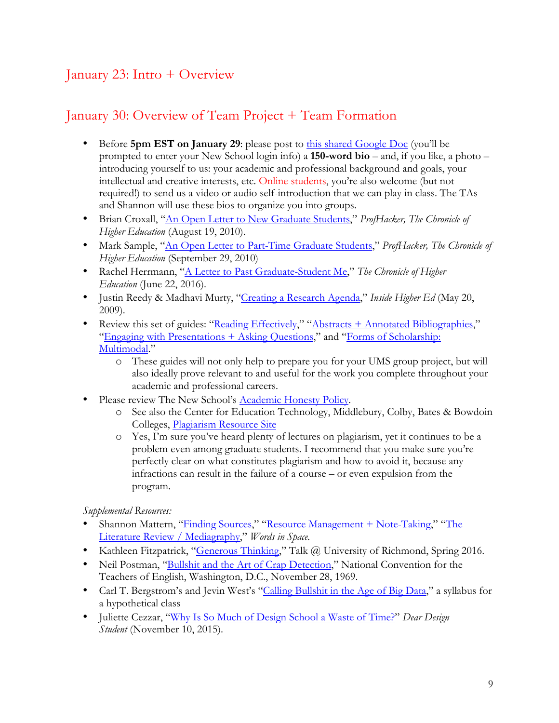# January 23: Intro + Overview

## January 30: Overview of Team Project + Team Formation

- Before **5pm EST on January 29**: please post to this shared Google Doc (you'll be prompted to enter your New School login info) a **150-word bio** – and, if you like, a photo – introducing yourself to us: your academic and professional background and goals, your intellectual and creative interests, etc. Online students, you're also welcome (but not required!) to send us a video or audio self-introduction that we can play in class. The TAs and Shannon will use these bios to organize you into groups.
- Brian Croxall, "An Open Letter to New Graduate Students," *ProfHacker, The Chronicle of Higher Education* (August 19, 2010).
- Mark Sample, "An Open Letter to Part-Time Graduate Students," *ProfHacker, The Chronicle of Higher Education* (September 29, 2010)
- Rachel Herrmann, "A Letter to Past Graduate-Student Me," *The Chronicle of Higher Education* (June 22, 2016).
- Justin Reedy & Madhavi Murty, "Creating a Research Agenda," *Inside Higher Ed* (May 20, 2009).
- Review this set of guides: "Reading Effectively," "Abstracts + Annotated Bibliographies," "Engaging with Presentations + Asking Questions," and "Forms of Scholarship: Multimodal."
	- o These guides will not only help to prepare you for your UMS group project, but will also ideally prove relevant to and useful for the work you complete throughout your academic and professional careers.
- Please review The New School's Academic Honesty Policy.
	- o See also the Center for Education Technology, Middlebury, Colby, Bates & Bowdoin Colleges, Plagiarism Resource Site
	- o Yes, I'm sure you've heard plenty of lectures on plagiarism, yet it continues to be a problem even among graduate students. I recommend that you make sure you're perfectly clear on what constitutes plagiarism and how to avoid it, because any infractions can result in the failure of a course – or even expulsion from the program.

## *Supplemental Resources:*

- Shannon Mattern, "Finding Sources," "Resource Management + Note-Taking," "The Literature Review / Mediagraphy," *Words in Space.*
- Kathleen Fitzpatrick, "Generous Thinking," Talk @ University of Richmond, Spring 2016.
- Neil Postman, "Bullshit and the Art of Crap Detection," National Convention for the Teachers of English, Washington, D.C., November 28, 1969.
- Carl T. Bergstrom's and Jevin West's "Calling Bullshit in the Age of Big Data," a syllabus for a hypothetical class
- Juliette Cezzar, "Why Is So Much of Design School a Waste of Time?" *Dear Design Student* (November 10, 2015).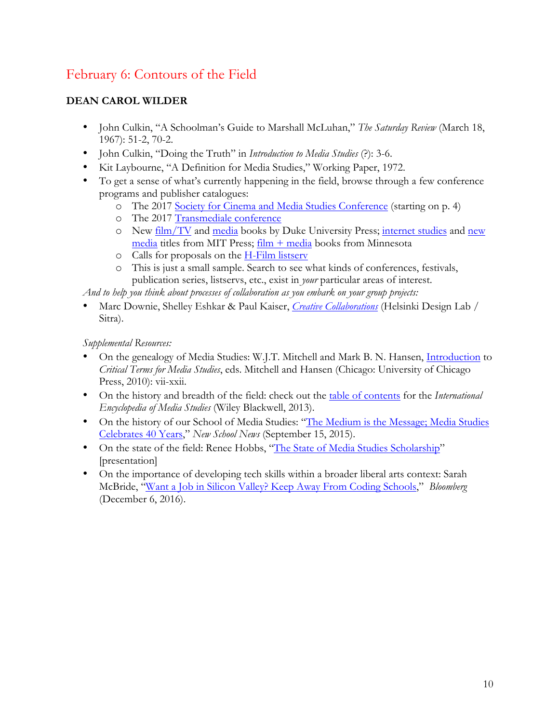# February 6: Contours of the Field

## **DEAN CAROL WILDER**

- John Culkin, "A Schoolman's Guide to Marshall McLuhan," *The Saturday Review* (March 18, 1967): 51-2, 70-2.
- John Culkin, "Doing the Truth" in *Introduction to Media Studies* (?): 3-6.
- Kit Laybourne, "A Definition for Media Studies," Working Paper, 1972.
- To get a sense of what's currently happening in the field, browse through a few conference programs and publisher catalogues:
	- o The 2017 Society for Cinema and Media Studies Conference (starting on p. 4)
	- o The 2017 Transmediale conference
	- o New film/TV and media books by Duke University Press; internet studies and new media titles from MIT Press; film + media books from Minnesota
	- $\circ$  Calls for proposals on the H-Film listserv
	- o This is just a small sample. Search to see what kinds of conferences, festivals, publication series, listservs, etc., exist in *your* particular areas of interest.

*And to help you think about processes of collaboration as you embark on your group projects:* 

• Marc Downie, Shelley Eshkar & Paul Kaiser, *Creative Collaborations* (Helsinki Design Lab / Sitra).

*Supplemental Resources:* 

- On the genealogy of Media Studies: W.J.T. Mitchell and Mark B. N. Hansen, Introduction to *Critical Terms for Media Studies*, eds. Mitchell and Hansen (Chicago: University of Chicago Press, 2010): vii-xxii.
- On the history and breadth of the field: check out the table of contents for the *International Encyclopedia of Media Studies* (Wiley Blackwell, 2013).
- On the history of our School of Media Studies: "The Medium is the Message; Media Studies Celebrates 40 Years," *New School News* (September 15, 2015).
- On the state of the field: Renee Hobbs, "The State of Media Studies Scholarship" [presentation]
- On the importance of developing tech skills within a broader liberal arts context: Sarah McBride, "Want a Job in Silicon Valley? Keep Away From Coding Schools," *Bloomberg*  (December 6, 2016).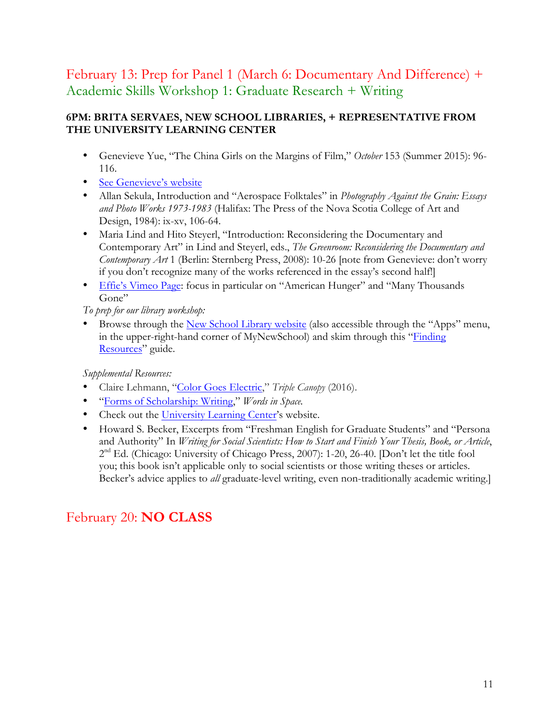# February 13: Prep for Panel 1 (March 6: Documentary And Difference) + Academic Skills Workshop 1: Graduate Research + Writing

## **6PM: BRITA SERVAES, NEW SCHOOL LIBRARIES, + REPRESENTATIVE FROM THE UNIVERSITY LEARNING CENTER**

- Genevieve Yue, "The China Girls on the Margins of Film," *October* 153 (Summer 2015): 96- 116.
- See Genevieve's website
- Allan Sekula, Introduction and "Aerospace Folktales" in *Photography Against the Grain: Essays and Photo Works 1973-1983* (Halifax: The Press of the Nova Scotia College of Art and Design, 1984): ix-xv, 106-64.
- Maria Lind and Hito Steyerl, "Introduction: Reconsidering the Documentary and Contemporary Art" in Lind and Steyerl, eds., *The Greenroom: Reconsidering the Documentary and Contemporary Art* 1 (Berlin: Sternberg Press, 2008): 10-26 [note from Genevieve: don't worry if you don't recognize many of the works referenced in the essay's second half!]
- Effie's Vimeo Page: focus in particular on "American Hunger" and "Many Thousands" Gone"

*To prep for our library workshop:* 

• Browse through the New School Library website (also accessible through the "Apps" menu, in the upper-right-hand corner of MyNewSchool) and skim through this "Finding Resources" guide.

*Supplemental Resources:* 

- Claire Lehmann, "Color Goes Electric," *Triple Canopy* (2016).
- "Forms of Scholarship: Writing," *Words in Space.*
- Check out the University Learning Center's website.
- Howard S. Becker, Excerpts from "Freshman English for Graduate Students" and "Persona and Authority" In *Writing for Social Scientists: How to Start and Finish Your Thesis, Book, or Article*, 2nd Ed. (Chicago: University of Chicago Press, 2007): 1-20, 26-40. [Don't let the title fool you; this book isn't applicable only to social scientists or those writing theses or articles. Becker's advice applies to *all* graduate-level writing, even non-traditionally academic writing.]

# February 20: **NO CLASS**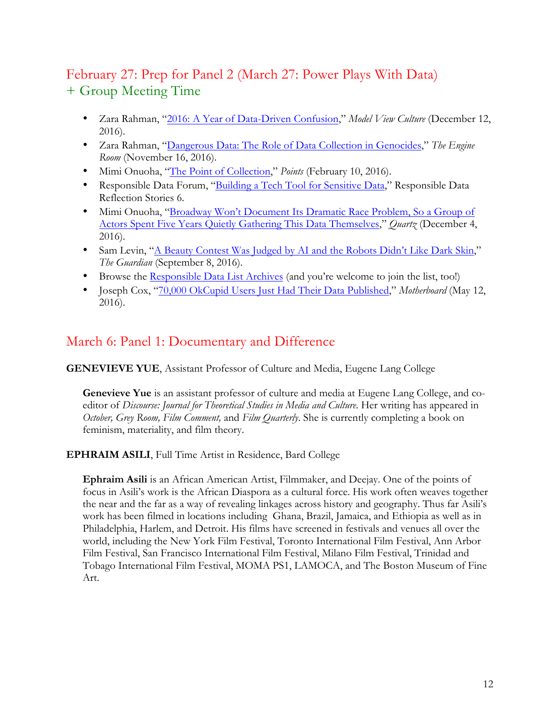# February 27: Prep for Panel 2 (March 27: Power Plays With Data) + Group Meeting Time

- Zara Rahman, "2016: A Year of Data-Driven Confusion," *Model View Culture* (December 12, 2016).
- Zara Rahman, "Dangerous Data: The Role of Data Collection in Genocides," *The Engine Room* (November 16, 2016).
- Mimi Onuoha, "The Point of Collection," *Points* (February 10, 2016).
- Responsible Data Forum, "Building a Tech Tool for Sensitive Data," Responsible Data Reflection Stories 6.
- Mimi Onuoha, "Broadway Won't Document Its Dramatic Race Problem, So a Group of Actors Spent Five Years Quietly Gathering This Data Themselves," *Quartz* (December 4, 2016).
- Sam Levin, "A Beauty Contest Was Judged by AI and the Robots Didn't Like Dark Skin," *The Guardian* (September 8, 2016).
- Browse the Responsible Data List Archives (and you're welcome to join the list, too!)
- Joseph Cox, "70,000 OkCupid Users Just Had Their Data Published," *Motherboard* (May 12, 2016).

## March 6: Panel 1: Documentary and Difference

**GENEVIEVE YUE**, Assistant Professor of Culture and Media, Eugene Lang College

**Genevieve Yue** is an assistant professor of culture and media at Eugene Lang College, and coeditor of *Discourse: Journal for Theoretical Studies in Media and Culture*. Her writing has appeared in *October, Grey Room, Film Comment,* and *Film Quarterly*. She is currently completing a book on feminism, materiality, and film theory.

**EPHRAIM ASILI**, Full Time Artist in Residence, Bard College

**Ephraim Asili** is an African American Artist, Filmmaker, and Deejay. One of the points of focus in Asili's work is the African Diaspora as a cultural force. His work often weaves together the near and the far as a way of revealing linkages across history and geography. Thus far Asili's work has been filmed in locations including Ghana, Brazil, Jamaica, and Ethiopia as well as in Philadelphia, Harlem, and Detroit. His films have screened in festivals and venues all over the world, including the New York Film Festival, Toronto International Film Festival, Ann Arbor Film Festival, San Francisco International Film Festival, Milano Film Festival, Trinidad and Tobago International Film Festival, MOMA PS1, LAMOCA, and The Boston Museum of Fine Art.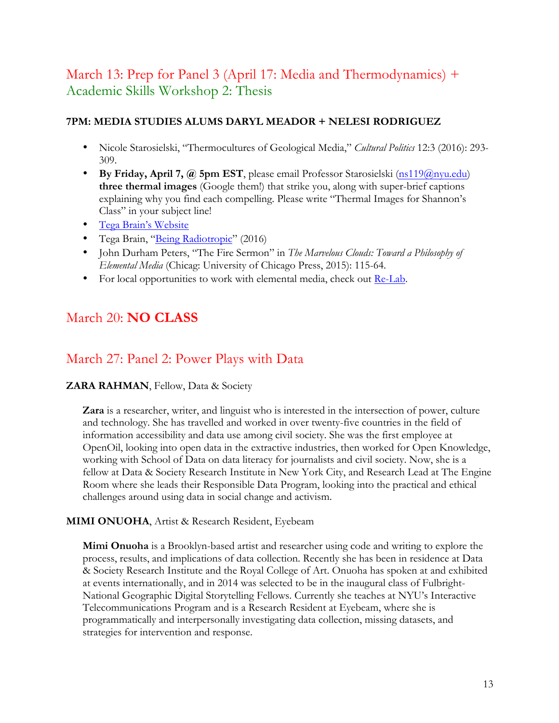# March 13: Prep for Panel 3 (April 17: Media and Thermodynamics) + Academic Skills Workshop 2: Thesis

## **7PM: MEDIA STUDIES ALUMS DARYL MEADOR + NELESI RODRIGUEZ**

- Nicole Starosielski, "Thermocultures of Geological Media," *Cultural Politics* 12:3 (2016): 293- 309.
- **By Friday, April 7, @ 5pm EST**, please email Professor Starosielski (ns119@nyu.edu) **three thermal images** (Google them!) that strike you, along with super-brief captions explaining why you find each compelling. Please write "Thermal Images for Shannon's Class" in your subject line!
- Tega Brain's Website
- Tega Brain, "Being Radiotropic" (2016)
- John Durham Peters, "The Fire Sermon" in *The Marvelous Clouds: Toward a Philosophy of Elemental Media* (Chicag: University of Chicago Press, 2015): 115-64.
- For local opportunities to work with elemental media, check out Re-Lab.

# March 20: **NO CLASS**

## March 27: Panel 2: Power Plays with Data

## **ZARA RAHMAN**, Fellow, Data & Society

**Zara** is a researcher, writer, and linguist who is interested in the intersection of power, culture and technology. She has travelled and worked in over twenty-five countries in the field of information accessibility and data use among civil society. She was the first employee at OpenOil, looking into open data in the extractive industries, then worked for Open Knowledge, working with School of Data on data literacy for journalists and civil society. Now, she is a fellow at Data & Society Research Institute in New York City, and Research Lead at The Engine Room where she leads their Responsible Data Program, looking into the practical and ethical challenges around using data in social change and activism.

#### **MIMI ONUOHA**, Artist & Research Resident, Eyebeam

**Mimi Onuoha** is a Brooklyn-based artist and researcher using code and writing to explore the process, results, and implications of data collection. Recently she has been in residence at Data & Society Research Institute and the Royal College of Art. Onuoha has spoken at and exhibited at events internationally, and in 2014 was selected to be in the inaugural class of Fulbright-National Geographic Digital Storytelling Fellows. Currently she teaches at NYU's Interactive Telecommunications Program and is a Research Resident at Eyebeam, where she is programmatically and interpersonally investigating data collection, missing datasets, and strategies for intervention and response.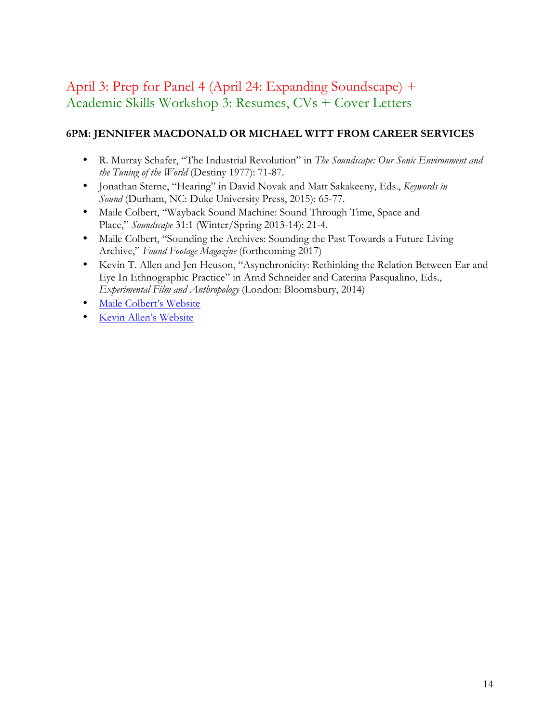# April 3: Prep for Panel 4 (April 24: Expanding Soundscape) + Academic Skills Workshop 3: Resumes, CVs + Cover Letters

## **6PM: JENNIFER MACDONALD OR MICHAEL WITT FROM CAREER SERVICES**

- R. Murray Schafer, "The Industrial Revolution" in *The Soundscape: Our Sonic Environment and the Tuning of the World* (Destiny 1977): 71-87.
- Jonathan Sterne, "Hearing" in David Novak and Matt Sakakeeny, Eds., *Keywords in Sound* (Durham, NC: Duke University Press, 2015): 65-77.
- Maile Colbert, "Wayback Sound Machine: Sound Through Time, Space and Place," *Soundscape* 31:1 (Winter/Spring 2013-14): 21-4.
- Maile Colbert, "Sounding the Archives: Sounding the Past Towards a Future Living Archive," *Found Footage Magazine* (forthcoming 2017)
- Kevin T. Allen and Jen Heuson, "Asynchronicity: Rethinking the Relation Between Ear and Eye In Ethnographic Practice" in Arnd Schneider and Caterina Pasqualino, Eds., *Experimental Film and Anthropology* (London: Bloomsbury, 2014)
- Maile Colbert's Website
- Kevin Allen's Website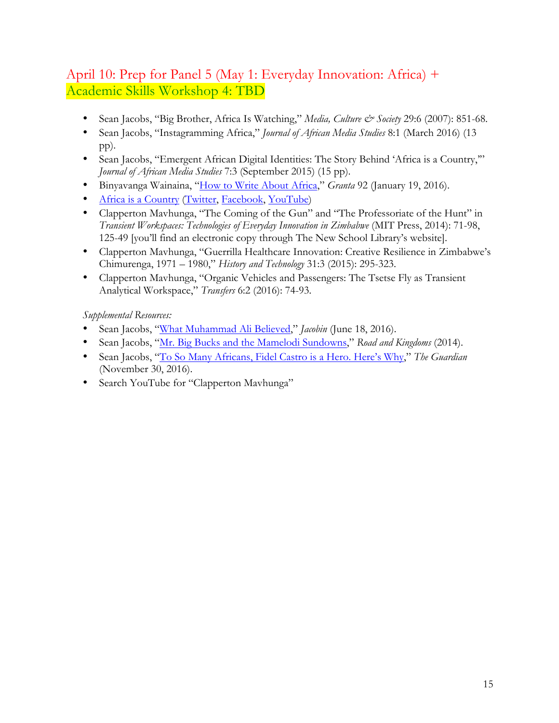# April 10: Prep for Panel 5 (May 1: Everyday Innovation: Africa) + Academic Skills Workshop 4: TBD

- Sean Jacobs, "Big Brother, Africa Is Watching," *Media, Culture & Society* 29:6 (2007): 851-68.
- Sean Jacobs, "Instagramming Africa," *Journal of African Media Studies* 8:1 (March 2016) (13 pp).
- Sean Jacobs, "Emergent African Digital Identities: The Story Behind 'Africa is a Country," *Journal of African Media Studies* 7:3 (September 2015) (15 pp).
- Binyavanga Wainaina, "How to Write About Africa," *Granta* 92 (January 19, 2016).
- Africa is a Country (Twitter, Facebook, YouTube)
- Clapperton Mavhunga, "The Coming of the Gun" and "The Professoriate of the Hunt" in *Transient Workspaces: Technologies of Everyday Innovation in Zimbabwe* (MIT Press, 2014): 71-98, 125-49 [you'll find an electronic copy through The New School Library's website].
- Clapperton Mavhunga, "Guerrilla Healthcare Innovation: Creative Resilience in Zimbabwe's Chimurenga, 1971 – 1980," *History and Technology* 31:3 (2015): 295-323.
- Clapperton Mavhunga, "Organic Vehicles and Passengers: The Tsetse Fly as Transient Analytical Workspace," *Transfers* 6:2 (2016): 74-93.

*Supplemental Resources:* 

- Sean Jacobs, "What Muhammad Ali Believed," *Jacobin* (June 18, 2016).
- Sean Jacobs, "Mr. Big Bucks and the Mamelodi Sundowns," *Road and Kingdoms* (2014).
- Sean Jacobs, "To So Many Africans, Fidel Castro is a Hero. Here's Why," *The Guardian*  (November 30, 2016).
- Search YouTube for "Clapperton Mavhunga"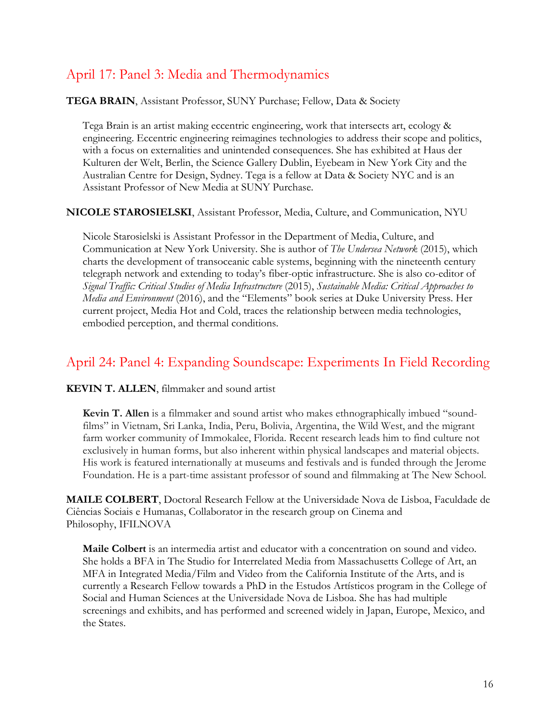# April 17: Panel 3: Media and Thermodynamics

**TEGA BRAIN**, Assistant Professor, SUNY Purchase; Fellow, Data & Society

Tega Brain is an artist making eccentric engineering, work that intersects art, ecology & engineering. Eccentric engineering reimagines technologies to address their scope and politics, with a focus on externalities and unintended consequences. She has exhibited at Haus der Kulturen der Welt, Berlin, the Science Gallery Dublin, Eyebeam in New York City and the Australian Centre for Design, Sydney. Tega is a fellow at Data & Society NYC and is an Assistant Professor of New Media at SUNY Purchase.

**NICOLE STAROSIELSKI**, Assistant Professor, Media, Culture, and Communication, NYU

Nicole Starosielski is Assistant Professor in the Department of Media, Culture, and Communication at New York University. She is author of *The Undersea Network* (2015), which charts the development of transoceanic cable systems, beginning with the nineteenth century telegraph network and extending to today's fiber-optic infrastructure. She is also co-editor of *Signal Traffic: Critical Studies of Media Infrastructure* (2015), *Sustainable Media: Critical Approaches to Media and Environment* (2016), and the "Elements" book series at Duke University Press. Her current project, Media Hot and Cold, traces the relationship between media technologies, embodied perception, and thermal conditions.

## April 24: Panel 4: Expanding Soundscape: Experiments In Field Recording

#### **KEVIN T. ALLEN**, filmmaker and sound artist

**Kevin T. Allen** is a filmmaker and sound artist who makes ethnographically imbued "soundfilms" in Vietnam, Sri Lanka, India, Peru, Bolivia, Argentina, the Wild West, and the migrant farm worker community of Immokalee, Florida. Recent research leads him to find culture not exclusively in human forms, but also inherent within physical landscapes and material objects. His work is featured internationally at museums and festivals and is funded through the Jerome Foundation. He is a part-time assistant professor of sound and filmmaking at The New School.

**MAILE COLBERT**, Doctoral Research Fellow at the Universidade Nova de Lisboa, Faculdade de Ciências Sociais e Humanas, Collaborator in the research group on Cinema and Philosophy, IFILNOVA

**Maile Colbert** is an intermedia artist and educator with a concentration on sound and video. She holds a BFA in The Studio for Interrelated Media from Massachusetts College of Art, an MFA in Integrated Media/Film and Video from the California Institute of the Arts, and is currently a Research Fellow towards a PhD in the Estudos Artísticos program in the College of Social and Human Sciences at the Universidade Nova de Lisboa. She has had multiple screenings and exhibits, and has performed and screened widely in Japan, Europe, Mexico, and the States.